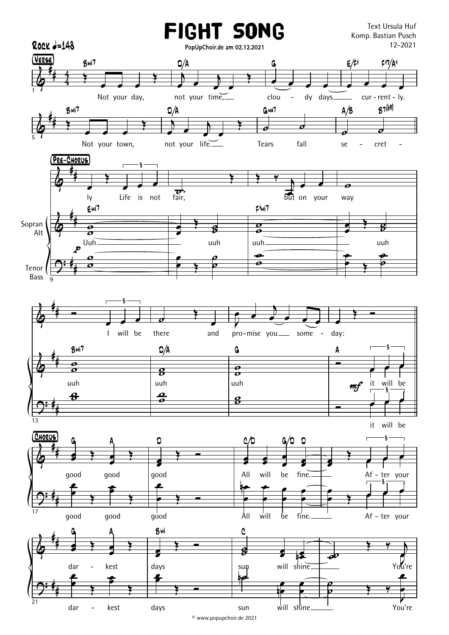

© www.popupchoir.de 2021